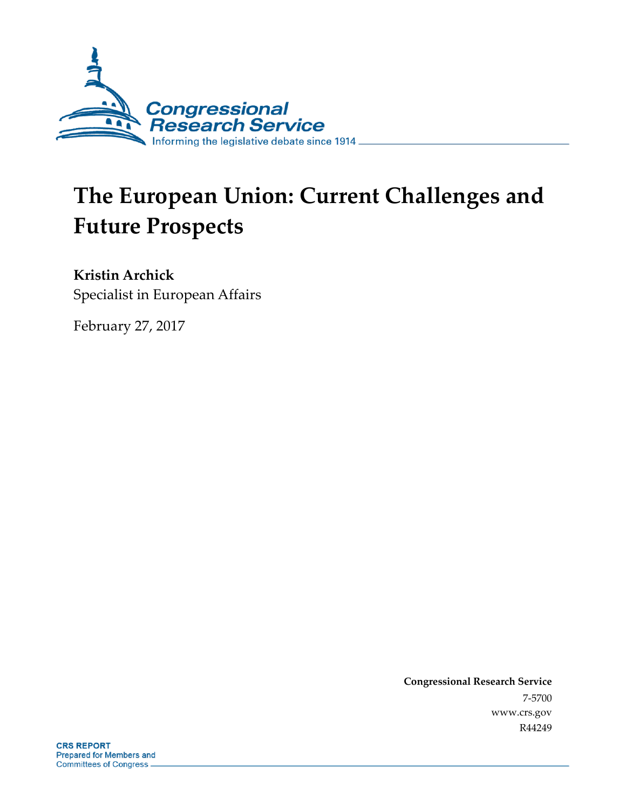

# **The European Union: Current Challenges and Future Prospects**

**Kristin Archick** Specialist in European Affairs

February 27, 2017

**Congressional Research Service** 7-5700 www.crs.gov R44249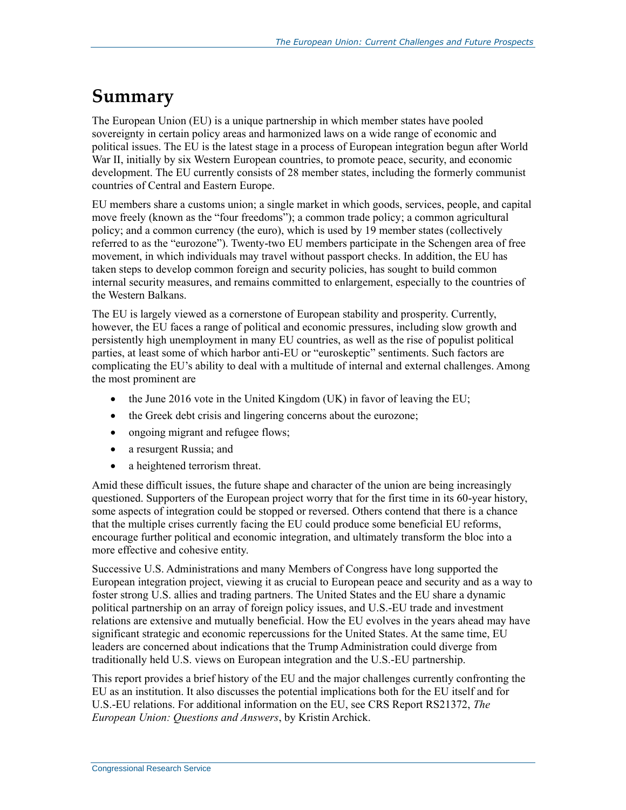## **Summary**

The European Union (EU) is a unique partnership in which member states have pooled sovereignty in certain policy areas and harmonized laws on a wide range of economic and political issues. The EU is the latest stage in a process of European integration begun after World War II, initially by six Western European countries, to promote peace, security, and economic development. The EU currently consists of 28 member states, including the formerly communist countries of Central and Eastern Europe.

EU members share a customs union; a single market in which goods, services, people, and capital move freely (known as the "four freedoms"); a common trade policy; a common agricultural policy; and a common currency (the euro), which is used by 19 member states (collectively referred to as the "eurozone"). Twenty-two EU members participate in the Schengen area of free movement, in which individuals may travel without passport checks. In addition, the EU has taken steps to develop common foreign and security policies, has sought to build common internal security measures, and remains committed to enlargement, especially to the countries of the Western Balkans.

The EU is largely viewed as a cornerstone of European stability and prosperity. Currently, however, the EU faces a range of political and economic pressures, including slow growth and persistently high unemployment in many EU countries, as well as the rise of populist political parties, at least some of which harbor anti-EU or "euroskeptic" sentiments. Such factors are complicating the EU's ability to deal with a multitude of internal and external challenges. Among the most prominent are

- the June 2016 vote in the United Kingdom (UK) in favor of leaving the EU;
- the Greek debt crisis and lingering concerns about the eurozone;
- ongoing migrant and refugee flows;
- a resurgent Russia; and
- a heightened terrorism threat.

Amid these difficult issues, the future shape and character of the union are being increasingly questioned. Supporters of the European project worry that for the first time in its 60-year history, some aspects of integration could be stopped or reversed. Others contend that there is a chance that the multiple crises currently facing the EU could produce some beneficial EU reforms, encourage further political and economic integration, and ultimately transform the bloc into a more effective and cohesive entity.

Successive U.S. Administrations and many Members of Congress have long supported the European integration project, viewing it as crucial to European peace and security and as a way to foster strong U.S. allies and trading partners. The United States and the EU share a dynamic political partnership on an array of foreign policy issues, and U.S.-EU trade and investment relations are extensive and mutually beneficial. How the EU evolves in the years ahead may have significant strategic and economic repercussions for the United States. At the same time, EU leaders are concerned about indications that the Trump Administration could diverge from traditionally held U.S. views on European integration and the U.S.-EU partnership.

This report provides a brief history of the EU and the major challenges currently confronting the EU as an institution. It also discusses the potential implications both for the EU itself and for U.S.-EU relations. For additional information on the EU, see CRS Report RS21372, *The European Union: Questions and Answers*, by Kristin Archick.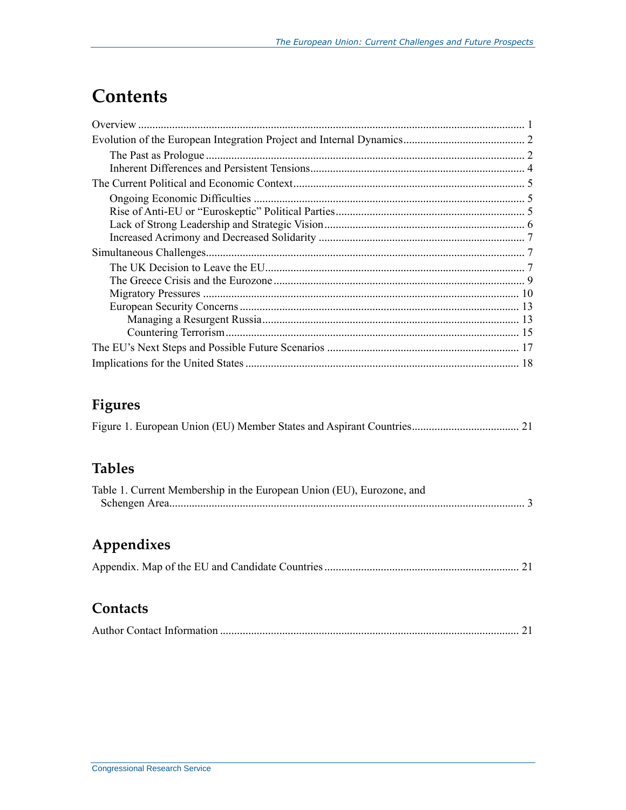## **Contents**

### **Figures**

### **Tables**

| Table 1. Current Membership in the European Union (EU), Eurozone, and |  |
|-----------------------------------------------------------------------|--|
|                                                                       |  |

### **Appendixes**

|--|--|--|--|--|

### **Contacts**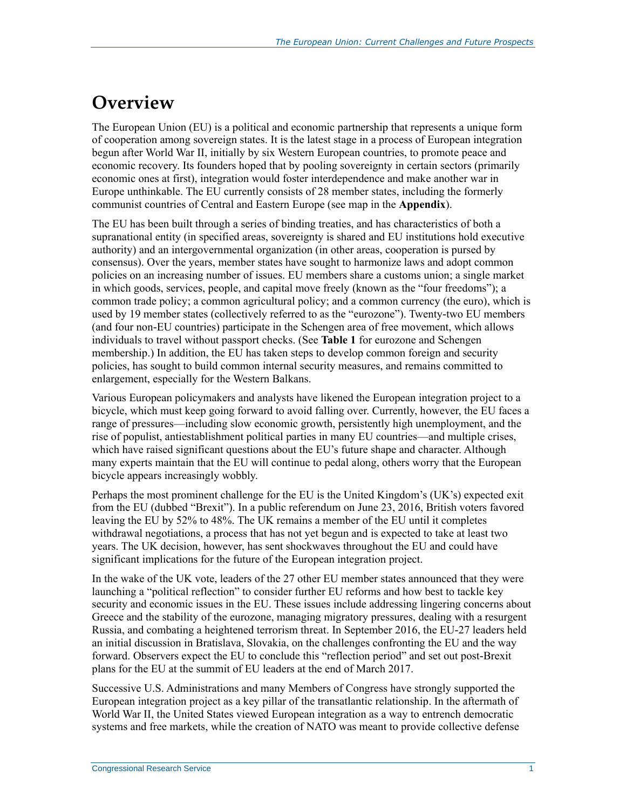## **Overview**

The European Union (EU) is a political and economic partnership that represents a unique form of cooperation among sovereign states. It is the latest stage in a process of European integration begun after World War II, initially by six Western European countries, to promote peace and economic recovery. Its founders hoped that by pooling sovereignty in certain sectors (primarily economic ones at first), integration would foster interdependence and make another war in Europe unthinkable. The EU currently consists of 28 member states, including the formerly communist countries of Central and Eastern Europe (see map in the **[Appendix](#page-23-0)**).

The EU has been built through a series of binding treaties, and has characteristics of both a supranational entity (in specified areas, sovereignty is shared and EU institutions hold executive authority) and an intergovernmental organization (in other areas, cooperation is pursed by consensus). Over the years, member states have sought to harmonize laws and adopt common policies on an increasing number of issues. EU members share a customs union; a single market in which goods, services, people, and capital move freely (known as the "four freedoms"); a common trade policy; a common agricultural policy; and a common currency (the euro), which is used by 19 member states (collectively referred to as the "eurozone"). Twenty-two EU members (and four non-EU countries) participate in the Schengen area of free movement, which allows individuals to travel without passport checks. (See **[Table 1](#page-5-0)** for eurozone and Schengen membership.) In addition, the EU has taken steps to develop common foreign and security policies, has sought to build common internal security measures, and remains committed to enlargement, especially for the Western Balkans.

Various European policymakers and analysts have likened the European integration project to a bicycle, which must keep going forward to avoid falling over. Currently, however, the EU faces a range of pressures—including slow economic growth, persistently high unemployment, and the rise of populist, antiestablishment political parties in many EU countries—and multiple crises, which have raised significant questions about the EU's future shape and character. Although many experts maintain that the EU will continue to pedal along, others worry that the European bicycle appears increasingly wobbly.

Perhaps the most prominent challenge for the EU is the United Kingdom's (UK's) expected exit from the EU (dubbed "Brexit"). In a public referendum on June 23, 2016, British voters favored leaving the EU by 52% to 48%. The UK remains a member of the EU until it completes withdrawal negotiations, a process that has not yet begun and is expected to take at least two years. The UK decision, however, has sent shockwaves throughout the EU and could have significant implications for the future of the European integration project.

In the wake of the UK vote, leaders of the 27 other EU member states announced that they were launching a "political reflection" to consider further EU reforms and how best to tackle key security and economic issues in the EU. These issues include addressing lingering concerns about Greece and the stability of the eurozone, managing migratory pressures, dealing with a resurgent Russia, and combating a heightened terrorism threat. In September 2016, the EU-27 leaders held an initial discussion in Bratislava, Slovakia, on the challenges confronting the EU and the way forward. Observers expect the EU to conclude this "reflection period" and set out post-Brexit plans for the EU at the summit of EU leaders at the end of March 2017.

Successive U.S. Administrations and many Members of Congress have strongly supported the European integration project as a key pillar of the transatlantic relationship. In the aftermath of World War II, the United States viewed European integration as a way to entrench democratic systems and free markets, while the creation of NATO was meant to provide collective defense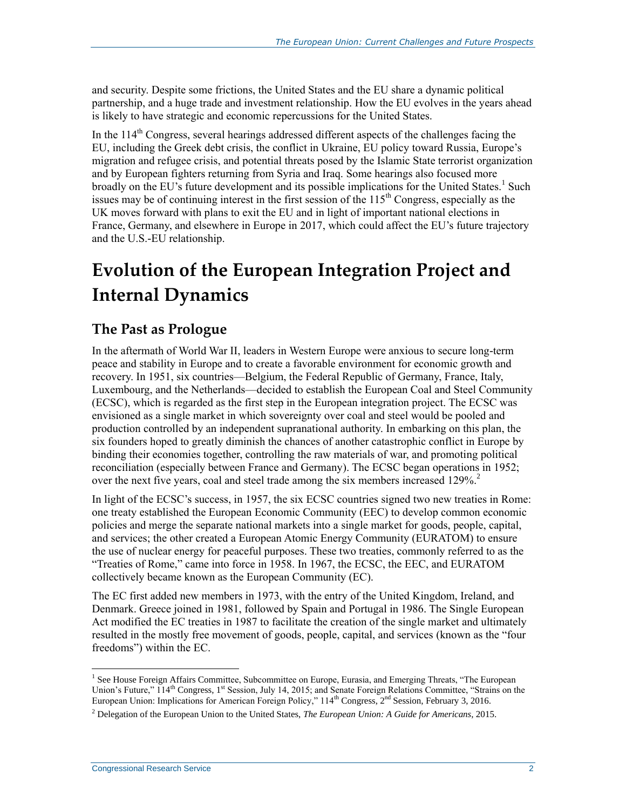and security. Despite some frictions, the United States and the EU share a dynamic political partnership, and a huge trade and investment relationship. How the EU evolves in the years ahead is likely to have strategic and economic repercussions for the United States.

In the  $114<sup>th</sup>$  Congress, several hearings addressed different aspects of the challenges facing the EU, including the Greek debt crisis, the conflict in Ukraine, EU policy toward Russia, Europe's migration and refugee crisis, and potential threats posed by the Islamic State terrorist organization and by European fighters returning from Syria and Iraq. Some hearings also focused more broadly on the EU's future development and its possible implications for the United States.<sup>1</sup> Such issues may be of continuing interest in the first session of the  $115<sup>th</sup>$  Congress, especially as the UK moves forward with plans to exit the EU and in light of important national elections in France, Germany, and elsewhere in Europe in 2017, which could affect the EU's future trajectory and the U.S.-EU relationship.

## **Evolution of the European Integration Project and Internal Dynamics**

#### **The Past as Prologue**

In the aftermath of World War II, leaders in Western Europe were anxious to secure long-term peace and stability in Europe and to create a favorable environment for economic growth and recovery. In 1951, six countries—Belgium, the Federal Republic of Germany, France, Italy, Luxembourg, and the Netherlands—decided to establish the European Coal and Steel Community (ECSC), which is regarded as the first step in the European integration project. The ECSC was envisioned as a single market in which sovereignty over coal and steel would be pooled and production controlled by an independent supranational authority. In embarking on this plan, the six founders hoped to greatly diminish the chances of another catastrophic conflict in Europe by binding their economies together, controlling the raw materials of war, and promoting political reconciliation (especially between France and Germany). The ECSC began operations in 1952; over the next five years, coal and steel trade among the six members increased 129%. 2

In light of the ECSC's success, in 1957, the six ECSC countries signed two new treaties in Rome: one treaty established the European Economic Community (EEC) to develop common economic policies and merge the separate national markets into a single market for goods, people, capital, and services; the other created a European Atomic Energy Community (EURATOM) to ensure the use of nuclear energy for peaceful purposes. These two treaties, commonly referred to as the "Treaties of Rome," came into force in 1958. In 1967, the ECSC, the EEC, and EURATOM collectively became known as the European Community (EC).

The EC first added new members in 1973, with the entry of the United Kingdom, Ireland, and Denmark. Greece joined in 1981, followed by Spain and Portugal in 1986. The Single European Act modified the EC treaties in 1987 to facilitate the creation of the single market and ultimately resulted in the mostly free movement of goods, people, capital, and services (known as the "four freedoms") within the EC.

<sup>&</sup>lt;sup>1</sup> See House Foreign Affairs Committee, Subcommittee on Europe, Eurasia, and Emerging Threats, "The European Union's Future," 114<sup>th</sup> Congress, 1<sup>st</sup> Session, July 14, 2015; and Senate Foreign Relations Committee, "Strains on the European Union: Implications for American Foreign Policy," 114<sup>th</sup> Congress, 2<sup>nd</sup> Session, February 3, 2016.

<sup>2</sup> Delegation of the European Union to the United States, *The European Union: A Guide for Americans*, 2015.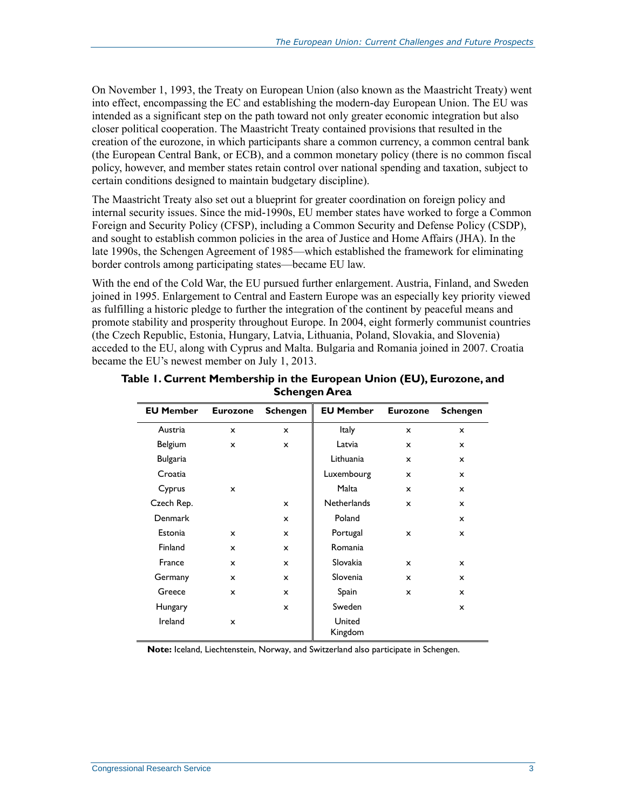On November 1, 1993, the Treaty on European Union (also known as the Maastricht Treaty) went into effect, encompassing the EC and establishing the modern-day European Union. The EU was intended as a significant step on the path toward not only greater economic integration but also closer political cooperation. The Maastricht Treaty contained provisions that resulted in the creation of the eurozone, in which participants share a common currency, a common central bank (the European Central Bank, or ECB), and a common monetary policy (there is no common fiscal policy, however, and member states retain control over national spending and taxation, subject to certain conditions designed to maintain budgetary discipline).

The Maastricht Treaty also set out a blueprint for greater coordination on foreign policy and internal security issues. Since the mid-1990s, EU member states have worked to forge a Common Foreign and Security Policy (CFSP), including a Common Security and Defense Policy (CSDP), and sought to establish common policies in the area of Justice and Home Affairs (JHA). In the late 1990s, the Schengen Agreement of 1985—which established the framework for eliminating border controls among participating states—became EU law.

With the end of the Cold War, the EU pursued further enlargement. Austria, Finland, and Sweden joined in 1995. Enlargement to Central and Eastern Europe was an especially key priority viewed as fulfilling a historic pledge to further the integration of the continent by peaceful means and promote stability and prosperity throughout Europe. In 2004, eight formerly communist countries (the Czech Republic, Estonia, Hungary, Latvia, Lithuania, Poland, Slovakia, and Slovenia) acceded to the EU, along with Cyprus and Malta. Bulgaria and Romania joined in 2007. Croatia became the EU's newest member on July 1, 2013.

| <b>EU Member</b> | <b>Eurozone</b> | <b>Schengen</b> | <b>EU Member</b>   | <b>Eurozone</b> | <b>Schengen</b> |
|------------------|-----------------|-----------------|--------------------|-----------------|-----------------|
| Austria          | $\mathbf x$     | x               | <b>Italy</b>       | x               | x               |
| Belgium          | $\mathbf x$     | $\mathbf x$     | Latvia             | $\mathbf x$     | $\mathbf{x}$    |
| <b>Bulgaria</b>  |                 |                 | Lithuania          | $\mathbf x$     | $\mathsf{x}$    |
| Croatia          |                 |                 | Luxembourg         | x               | x               |
| Cyprus           | $\mathsf{x}$    |                 | Malta              | $\mathbf x$     | x               |
| Czech Rep.       |                 | $\mathbf x$     | <b>Netherlands</b> | $\mathbf x$     | $\mathsf{x}$    |
| <b>Denmark</b>   |                 | $\mathbf x$     | Poland             |                 | $\mathsf{x}$    |
| Estonia          | $\mathbf x$     | $\mathbf x$     | Portugal           | x               | x               |
| Finland          | $\mathbf x$     | $\mathbf x$     | Romania            |                 |                 |
| France           | $\mathbf x$     | $\mathsf{x}$    | Slovakia           | $\mathbf x$     | $\mathbf{x}$    |
| Germany          | $\mathbf x$     | $\mathbf x$     | Slovenia           | $\mathbf x$     | $\mathsf{x}$    |
| Greece           | $\mathsf{x}$    | x               | Spain              | x               | x               |
| Hungary          |                 | $\mathbf x$     | Sweden             |                 | $\mathbf{x}$    |
| Ireland          | $\mathsf{x}$    |                 | United<br>Kingdom  |                 |                 |

<span id="page-5-0"></span>**Table 1. Current Membership in the European Union (EU), Eurozone, and Schengen Area**

**Note:** Iceland, Liechtenstein, Norway, and Switzerland also participate in Schengen.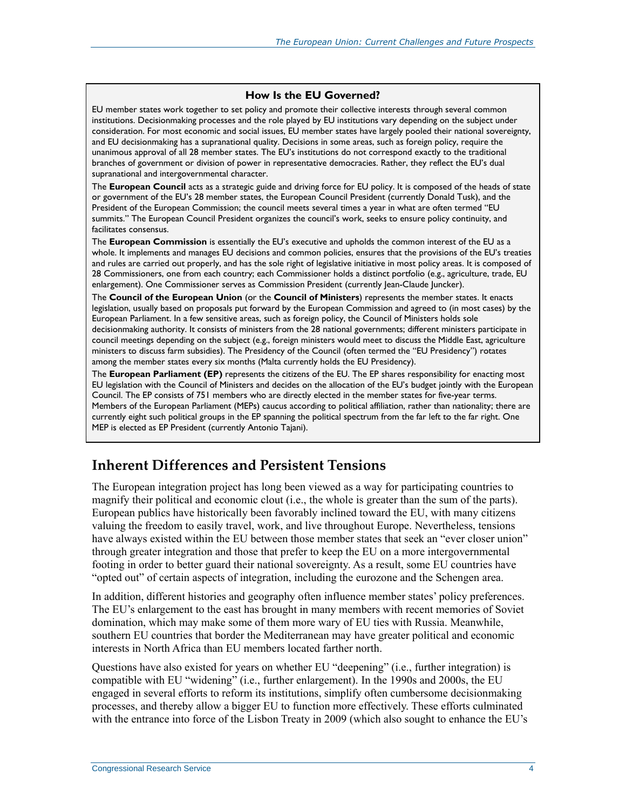#### **How Is the EU Governed?**

EU member states work together to set policy and promote their collective interests through several common institutions. Decisionmaking processes and the role played by EU institutions vary depending on the subject under consideration. For most economic and social issues, EU member states have largely pooled their national sovereignty, and EU decisionmaking has a supranational quality. Decisions in some areas, such as foreign policy, require the unanimous approval of all 28 member states. The EU's institutions do not correspond exactly to the traditional branches of government or division of power in representative democracies. Rather, they reflect the EU's dual supranational and intergovernmental character.

The **European Council** acts as a strategic guide and driving force for EU policy. It is composed of the heads of state or government of the EU's 28 member states, the European Council President (currently Donald Tusk), and the President of the European Commission; the council meets several times a year in what are often termed "EU summits." The European Council President organizes the council's work, seeks to ensure policy continuity, and facilitates consensus.

The **European Commission** is essentially the EU's executive and upholds the common interest of the EU as a whole. It implements and manages EU decisions and common policies, ensures that the provisions of the EU's treaties and rules are carried out properly, and has the sole right of legislative initiative in most policy areas. It is composed of 28 Commissioners, one from each country; each Commissioner holds a distinct portfolio (e.g., agriculture, trade, EU enlargement). One Commissioner serves as Commission President (currently Jean-Claude Juncker).

The **Council of the European Union** (or the **Council of Ministers**) represents the member states. It enacts legislation, usually based on proposals put forward by the European Commission and agreed to (in most cases) by the European Parliament. In a few sensitive areas, such as foreign policy, the Council of Ministers holds sole decisionmaking authority. It consists of ministers from the 28 national governments; different ministers participate in council meetings depending on the subject (e.g., foreign ministers would meet to discuss the Middle East, agriculture ministers to discuss farm subsidies). The Presidency of the Council (often termed the "EU Presidency") rotates among the member states every six months (Malta currently holds the EU Presidency).

The **European Parliament (EP)** represents the citizens of the EU. The EP shares responsibility for enacting most EU legislation with the Council of Ministers and decides on the allocation of the EU's budget jointly with the European Council. The EP consists of 751 members who are directly elected in the member states for five-year terms. Members of the European Parliament (MEPs) caucus according to political affiliation, rather than nationality; there are currently eight such political groups in the EP spanning the political spectrum from the far left to the far right. One MEP is elected as EP President (currently Antonio Tajani).

#### **Inherent Differences and Persistent Tensions**

The European integration project has long been viewed as a way for participating countries to magnify their political and economic clout (i.e., the whole is greater than the sum of the parts). European publics have historically been favorably inclined toward the EU, with many citizens valuing the freedom to easily travel, work, and live throughout Europe. Nevertheless, tensions have always existed within the EU between those member states that seek an "ever closer union" through greater integration and those that prefer to keep the EU on a more intergovernmental footing in order to better guard their national sovereignty. As a result, some EU countries have "opted out" of certain aspects of integration, including the eurozone and the Schengen area.

In addition, different histories and geography often influence member states' policy preferences. The EU's enlargement to the east has brought in many members with recent memories of Soviet domination, which may make some of them more wary of EU ties with Russia. Meanwhile, southern EU countries that border the Mediterranean may have greater political and economic interests in North Africa than EU members located farther north.

Questions have also existed for years on whether EU "deepening" (i.e., further integration) is compatible with EU "widening" (i.e., further enlargement). In the 1990s and 2000s, the EU engaged in several efforts to reform its institutions, simplify often cumbersome decisionmaking processes, and thereby allow a bigger EU to function more effectively. These efforts culminated with the entrance into force of the Lisbon Treaty in 2009 (which also sought to enhance the EU's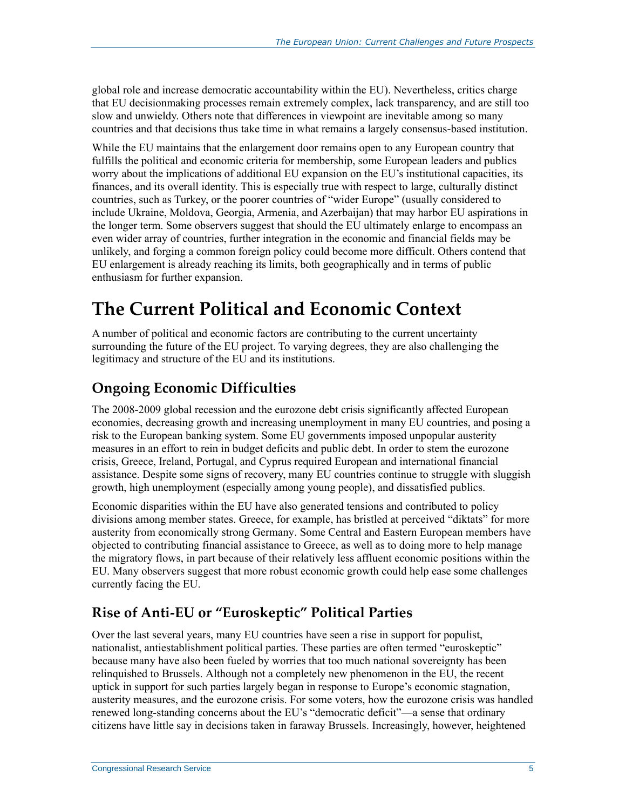global role and increase democratic accountability within the EU). Nevertheless, critics charge that EU decisionmaking processes remain extremely complex, lack transparency, and are still too slow and unwieldy. Others note that differences in viewpoint are inevitable among so many countries and that decisions thus take time in what remains a largely consensus-based institution.

While the EU maintains that the enlargement door remains open to any European country that fulfills the political and economic criteria for membership, some European leaders and publics worry about the implications of additional EU expansion on the EU's institutional capacities, its finances, and its overall identity. This is especially true with respect to large, culturally distinct countries, such as Turkey, or the poorer countries of "wider Europe" (usually considered to include Ukraine, Moldova, Georgia, Armenia, and Azerbaijan) that may harbor EU aspirations in the longer term. Some observers suggest that should the EU ultimately enlarge to encompass an even wider array of countries, further integration in the economic and financial fields may be unlikely, and forging a common foreign policy could become more difficult. Others contend that EU enlargement is already reaching its limits, both geographically and in terms of public enthusiasm for further expansion.

## **The Current Political and Economic Context**

A number of political and economic factors are contributing to the current uncertainty surrounding the future of the EU project. To varying degrees, they are also challenging the legitimacy and structure of the EU and its institutions.

### **Ongoing Economic Difficulties**

The 2008-2009 global recession and the eurozone debt crisis significantly affected European economies, decreasing growth and increasing unemployment in many EU countries, and posing a risk to the European banking system. Some EU governments imposed unpopular austerity measures in an effort to rein in budget deficits and public debt. In order to stem the eurozone crisis, Greece, Ireland, Portugal, and Cyprus required European and international financial assistance. Despite some signs of recovery, many EU countries continue to struggle with sluggish growth, high unemployment (especially among young people), and dissatisfied publics.

Economic disparities within the EU have also generated tensions and contributed to policy divisions among member states. Greece, for example, has bristled at perceived "diktats" for more austerity from economically strong Germany. Some Central and Eastern European members have objected to contributing financial assistance to Greece, as well as to doing more to help manage the migratory flows, in part because of their relatively less affluent economic positions within the EU. Many observers suggest that more robust economic growth could help ease some challenges currently facing the EU.

### **Rise of Anti-EU or "Euroskeptic" Political Parties**

Over the last several years, many EU countries have seen a rise in support for populist, nationalist, antiestablishment political parties. These parties are often termed "euroskeptic" because many have also been fueled by worries that too much national sovereignty has been relinquished to Brussels. Although not a completely new phenomenon in the EU, the recent uptick in support for such parties largely began in response to Europe's economic stagnation, austerity measures, and the eurozone crisis. For some voters, how the eurozone crisis was handled renewed long-standing concerns about the EU's "democratic deficit"—a sense that ordinary citizens have little say in decisions taken in faraway Brussels. Increasingly, however, heightened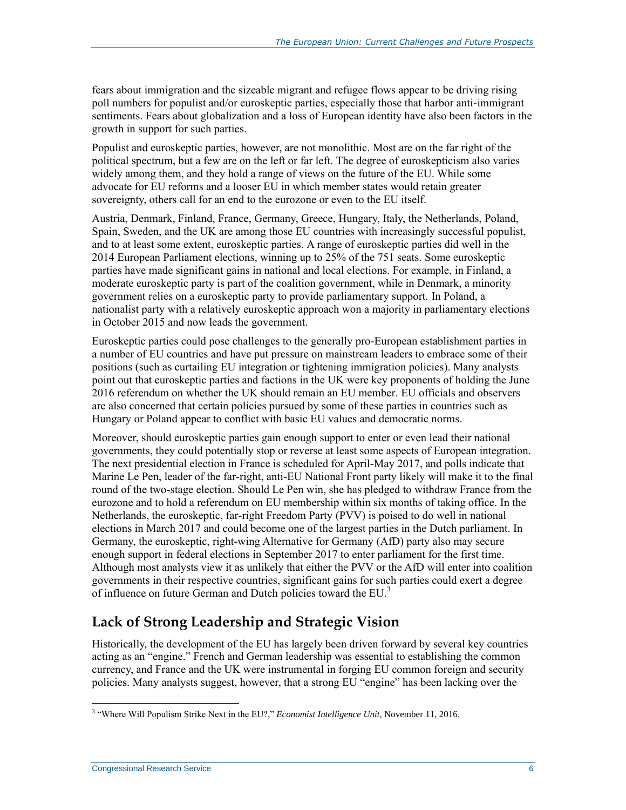fears about immigration and the sizeable migrant and refugee flows appear to be driving rising poll numbers for populist and/or euroskeptic parties, especially those that harbor anti-immigrant sentiments. Fears about globalization and a loss of European identity have also been factors in the growth in support for such parties.

Populist and euroskeptic parties, however, are not monolithic. Most are on the far right of the political spectrum, but a few are on the left or far left. The degree of euroskepticism also varies widely among them, and they hold a range of views on the future of the EU. While some advocate for EU reforms and a looser EU in which member states would retain greater sovereignty, others call for an end to the eurozone or even to the EU itself.

Austria, Denmark, Finland, France, Germany, Greece, Hungary, Italy, the Netherlands, Poland, Spain, Sweden, and the UK are among those EU countries with increasingly successful populist, and to at least some extent, euroskeptic parties. A range of euroskeptic parties did well in the 2014 European Parliament elections, winning up to 25% of the 751 seats. Some euroskeptic parties have made significant gains in national and local elections. For example, in Finland, a moderate euroskeptic party is part of the coalition government, while in Denmark, a minority government relies on a euroskeptic party to provide parliamentary support. In Poland, a nationalist party with a relatively euroskeptic approach won a majority in parliamentary elections in October 2015 and now leads the government.

Euroskeptic parties could pose challenges to the generally pro-European establishment parties in a number of EU countries and have put pressure on mainstream leaders to embrace some of their positions (such as curtailing EU integration or tightening immigration policies). Many analysts point out that euroskeptic parties and factions in the UK were key proponents of holding the June 2016 referendum on whether the UK should remain an EU member. EU officials and observers are also concerned that certain policies pursued by some of these parties in countries such as Hungary or Poland appear to conflict with basic EU values and democratic norms.

Moreover, should euroskeptic parties gain enough support to enter or even lead their national governments, they could potentially stop or reverse at least some aspects of European integration. The next presidential election in France is scheduled for April-May 2017, and polls indicate that Marine Le Pen, leader of the far-right, anti-EU National Front party likely will make it to the final round of the two-stage election. Should Le Pen win, she has pledged to withdraw France from the eurozone and to hold a referendum on EU membership within six months of taking office. In the Netherlands, the euroskeptic, far-right Freedom Party (PVV) is poised to do well in national elections in March 2017 and could become one of the largest parties in the Dutch parliament. In Germany, the euroskeptic, right-wing Alternative for Germany (AfD) party also may secure enough support in federal elections in September 2017 to enter parliament for the first time. Although most analysts view it as unlikely that either the PVV or the AfD will enter into coalition governments in their respective countries, significant gains for such parties could exert a degree of influence on future German and Dutch policies toward the EU.<sup>3</sup>

### **Lack of Strong Leadership and Strategic Vision**

Historically, the development of the EU has largely been driven forward by several key countries acting as an "engine." French and German leadership was essential to establishing the common currency, and France and the UK were instrumental in forging EU common foreign and security policies. Many analysts suggest, however, that a strong EU "engine" has been lacking over the

 3 "Where Will Populism Strike Next in the EU?," *Economist Intelligence Unit*, November 11, 2016.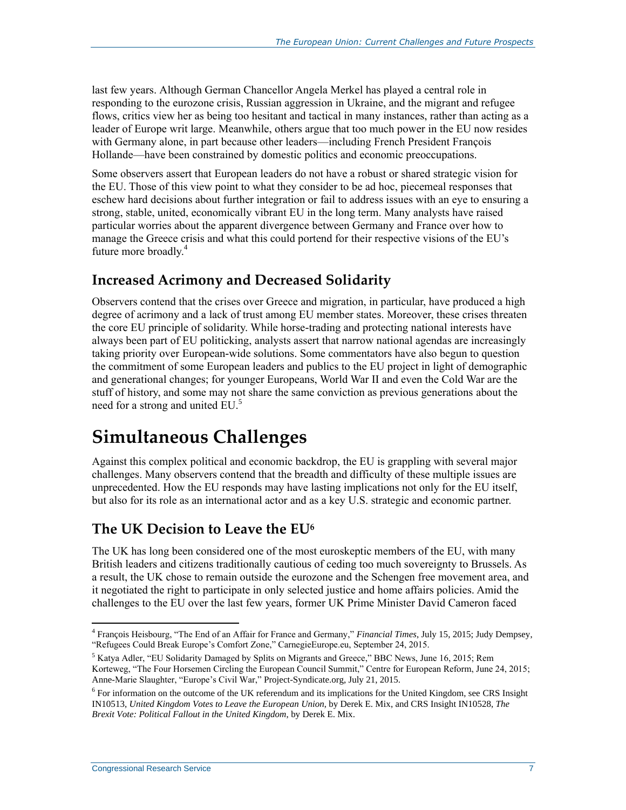last few years. Although German Chancellor Angela Merkel has played a central role in responding to the eurozone crisis, Russian aggression in Ukraine, and the migrant and refugee flows, critics view her as being too hesitant and tactical in many instances, rather than acting as a leader of Europe writ large. Meanwhile, others argue that too much power in the EU now resides with Germany alone, in part because other leaders—including French President François Hollande—have been constrained by domestic politics and economic preoccupations.

Some observers assert that European leaders do not have a robust or shared strategic vision for the EU. Those of this view point to what they consider to be ad hoc, piecemeal responses that eschew hard decisions about further integration or fail to address issues with an eye to ensuring a strong, stable, united, economically vibrant EU in the long term. Many analysts have raised particular worries about the apparent divergence between Germany and France over how to manage the Greece crisis and what this could portend for their respective visions of the EU's future more broadly.<sup>4</sup>

### **Increased Acrimony and Decreased Solidarity**

Observers contend that the crises over Greece and migration, in particular, have produced a high degree of acrimony and a lack of trust among EU member states. Moreover, these crises threaten the core EU principle of solidarity. While horse-trading and protecting national interests have always been part of EU politicking, analysts assert that narrow national agendas are increasingly taking priority over European-wide solutions. Some commentators have also begun to question the commitment of some European leaders and publics to the EU project in light of demographic and generational changes; for younger Europeans, World War II and even the Cold War are the stuff of history, and some may not share the same conviction as previous generations about the need for a strong and united EU.<sup>5</sup>

## **Simultaneous Challenges**

Against this complex political and economic backdrop, the EU is grappling with several major challenges. Many observers contend that the breadth and difficulty of these multiple issues are unprecedented. How the EU responds may have lasting implications not only for the EU itself, but also for its role as an international actor and as a key U.S. strategic and economic partner.

#### **The UK Decision to Leave the EU<sup>6</sup>**

The UK has long been considered one of the most euroskeptic members of the EU, with many British leaders and citizens traditionally cautious of ceding too much sovereignty to Brussels. As a result, the UK chose to remain outside the eurozone and the Schengen free movement area, and it negotiated the right to participate in only selected justice and home affairs policies. Amid the challenges to the EU over the last few years, former UK Prime Minister David Cameron faced

<sup>4</sup> François Heisbourg, "The End of an Affair for France and Germany," *Financial Times*, July 15, 2015; Judy Dempsey, "Refugees Could Break Europe's Comfort Zone," CarnegieEurope.eu, September 24, 2015.

<sup>5</sup> Katya Adler, "EU Solidarity Damaged by Splits on Migrants and Greece," BBC News, June 16, 2015; Rem Korteweg, "The Four Horsemen Circling the European Council Summit," Centre for European Reform, June 24, 2015; Anne-Marie Slaughter, "Europe's Civil War," Project-Syndicate.org, July 21, 2015.

<sup>&</sup>lt;sup>6</sup> For information on the outcome of the UK referendum and its implications for the United Kingdom, see CRS Insight IN10513, *United Kingdom Votes to Leave the European Union*, by Derek E. Mix, and CRS Insight IN10528, *The Brexit Vote: Political Fallout in the United Kingdom*, by Derek E. Mix.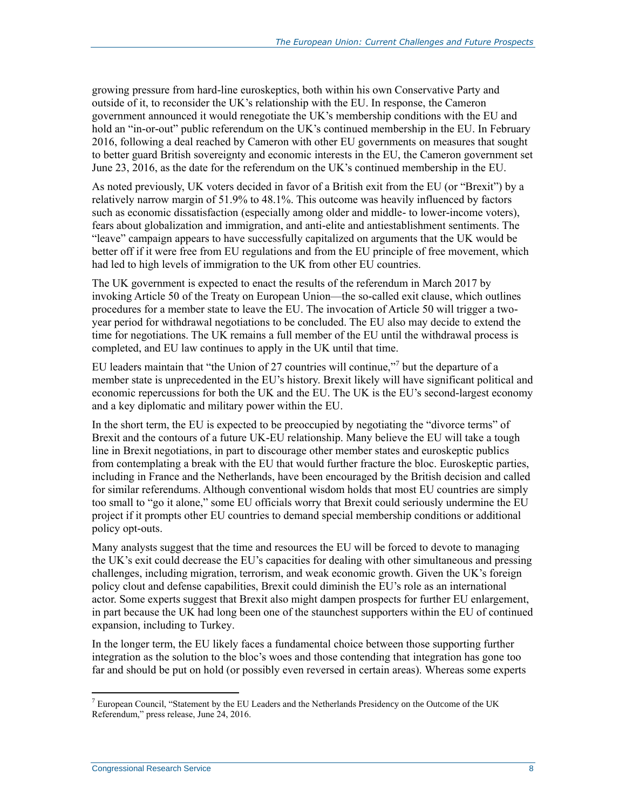growing pressure from hard-line euroskeptics, both within his own Conservative Party and outside of it, to reconsider the UK's relationship with the EU. In response, the Cameron government announced it would renegotiate the UK's membership conditions with the EU and hold an "in-or-out" public referendum on the UK's continued membership in the EU. In February 2016, following a deal reached by Cameron with other EU governments on measures that sought to better guard British sovereignty and economic interests in the EU, the Cameron government set June 23, 2016, as the date for the referendum on the UK's continued membership in the EU.

As noted previously, UK voters decided in favor of a British exit from the EU (or "Brexit") by a relatively narrow margin of 51.9% to 48.1%. This outcome was heavily influenced by factors such as economic dissatisfaction (especially among older and middle- to lower-income voters), fears about globalization and immigration, and anti-elite and antiestablishment sentiments. The "leave" campaign appears to have successfully capitalized on arguments that the UK would be better off if it were free from EU regulations and from the EU principle of free movement, which had led to high levels of immigration to the UK from other EU countries.

The UK government is expected to enact the results of the referendum in March 2017 by invoking Article 50 of the Treaty on European Union—the so-called exit clause, which outlines procedures for a member state to leave the EU. The invocation of Article 50 will trigger a twoyear period for withdrawal negotiations to be concluded. The EU also may decide to extend the time for negotiations. The UK remains a full member of the EU until the withdrawal process is completed, and EU law continues to apply in the UK until that time.

EU leaders maintain that "the Union of 27 countries will continue,"<sup>7</sup> but the departure of a member state is unprecedented in the EU's history. Brexit likely will have significant political and economic repercussions for both the UK and the EU. The UK is the EU's second-largest economy and a key diplomatic and military power within the EU.

In the short term, the EU is expected to be preoccupied by negotiating the "divorce terms" of Brexit and the contours of a future UK-EU relationship. Many believe the EU will take a tough line in Brexit negotiations, in part to discourage other member states and euroskeptic publics from contemplating a break with the EU that would further fracture the bloc. Euroskeptic parties, including in France and the Netherlands, have been encouraged by the British decision and called for similar referendums. Although conventional wisdom holds that most EU countries are simply too small to "go it alone," some EU officials worry that Brexit could seriously undermine the EU project if it prompts other EU countries to demand special membership conditions or additional policy opt-outs.

Many analysts suggest that the time and resources the EU will be forced to devote to managing the UK's exit could decrease the EU's capacities for dealing with other simultaneous and pressing challenges, including migration, terrorism, and weak economic growth. Given the UK's foreign policy clout and defense capabilities, Brexit could diminish the EU's role as an international actor. Some experts suggest that Brexit also might dampen prospects for further EU enlargement, in part because the UK had long been one of the staunchest supporters within the EU of continued expansion, including to Turkey.

In the longer term, the EU likely faces a fundamental choice between those supporting further integration as the solution to the bloc's woes and those contending that integration has gone too far and should be put on hold (or possibly even reversed in certain areas). Whereas some experts

 $^7$  European Council, "Statement by the EU Leaders and the Netherlands Presidency on the Outcome of the UK Referendum," press release, June 24, 2016.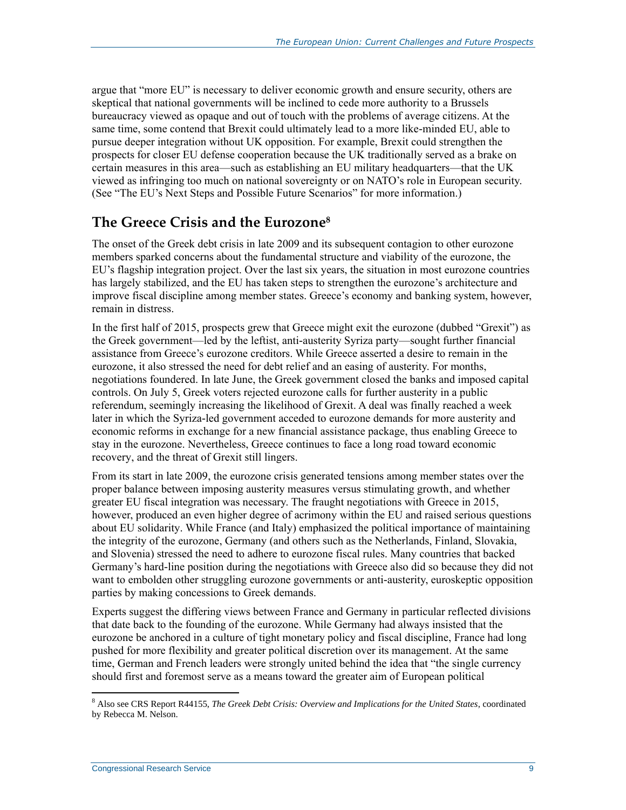argue that "more EU" is necessary to deliver economic growth and ensure security, others are skeptical that national governments will be inclined to cede more authority to a Brussels bureaucracy viewed as opaque and out of touch with the problems of average citizens. At the same time, some contend that Brexit could ultimately lead to a more like-minded EU, able to pursue deeper integration without UK opposition. For example, Brexit could strengthen the prospects for closer EU defense cooperation because the UK traditionally served as a brake on certain measures in this area—such as establishing an EU military headquarters—that the UK viewed as infringing too much on national sovereignty or on NATO's role in European security. (See ["The EU's Next Steps and Possible Future Scenarios"](#page-19-0) for more information.)

#### **The Greece Crisis and the Eurozone<sup>8</sup>**

The onset of the Greek debt crisis in late 2009 and its subsequent contagion to other eurozone members sparked concerns about the fundamental structure and viability of the eurozone, the EU's flagship integration project. Over the last six years, the situation in most eurozone countries has largely stabilized, and the EU has taken steps to strengthen the eurozone's architecture and improve fiscal discipline among member states. Greece's economy and banking system, however, remain in distress.

In the first half of 2015, prospects grew that Greece might exit the eurozone (dubbed "Grexit") as the Greek government—led by the leftist, anti-austerity Syriza party—sought further financial assistance from Greece's eurozone creditors. While Greece asserted a desire to remain in the eurozone, it also stressed the need for debt relief and an easing of austerity. For months, negotiations foundered. In late June, the Greek government closed the banks and imposed capital controls. On July 5, Greek voters rejected eurozone calls for further austerity in a public referendum, seemingly increasing the likelihood of Grexit. A deal was finally reached a week later in which the Syriza-led government acceded to eurozone demands for more austerity and economic reforms in exchange for a new financial assistance package, thus enabling Greece to stay in the eurozone. Nevertheless, Greece continues to face a long road toward economic recovery, and the threat of Grexit still lingers.

From its start in late 2009, the eurozone crisis generated tensions among member states over the proper balance between imposing austerity measures versus stimulating growth, and whether greater EU fiscal integration was necessary. The fraught negotiations with Greece in 2015, however, produced an even higher degree of acrimony within the EU and raised serious questions about EU solidarity. While France (and Italy) emphasized the political importance of maintaining the integrity of the eurozone, Germany (and others such as the Netherlands, Finland, Slovakia, and Slovenia) stressed the need to adhere to eurozone fiscal rules. Many countries that backed Germany's hard-line position during the negotiations with Greece also did so because they did not want to embolden other struggling eurozone governments or anti-austerity, euroskeptic opposition parties by making concessions to Greek demands.

Experts suggest the differing views between France and Germany in particular reflected divisions that date back to the founding of the eurozone. While Germany had always insisted that the eurozone be anchored in a culture of tight monetary policy and fiscal discipline, France had long pushed for more flexibility and greater political discretion over its management. At the same time, German and French leaders were strongly united behind the idea that "the single currency should first and foremost serve as a means toward the greater aim of European political

<sup>8</sup> Also see CRS Report R44155, *The Greek Debt Crisis: Overview and Implications for the United States*, coordinated by Rebecca M. Nelson.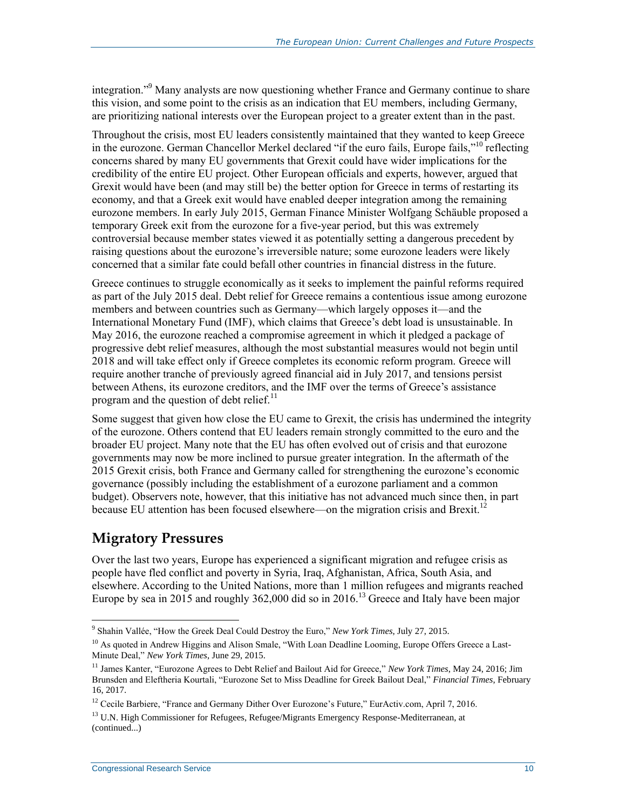integration."<sup>9</sup> Many analysts are now questioning whether France and Germany continue to share this vision, and some point to the crisis as an indication that EU members, including Germany, are prioritizing national interests over the European project to a greater extent than in the past.

Throughout the crisis, most EU leaders consistently maintained that they wanted to keep Greece in the eurozone. German Chancellor Merkel declared "if the euro fails, Europe fails,"<sup>10</sup> reflecting concerns shared by many EU governments that Grexit could have wider implications for the credibility of the entire EU project. Other European officials and experts, however, argued that Grexit would have been (and may still be) the better option for Greece in terms of restarting its economy, and that a Greek exit would have enabled deeper integration among the remaining eurozone members. In early July 2015, German Finance Minister Wolfgang Schäuble proposed a temporary Greek exit from the eurozone for a five-year period, but this was extremely controversial because member states viewed it as potentially setting a dangerous precedent by raising questions about the eurozone's irreversible nature; some eurozone leaders were likely concerned that a similar fate could befall other countries in financial distress in the future.

Greece continues to struggle economically as it seeks to implement the painful reforms required as part of the July 2015 deal. Debt relief for Greece remains a contentious issue among eurozone members and between countries such as Germany—which largely opposes it—and the International Monetary Fund (IMF), which claims that Greece's debt load is unsustainable. In May 2016, the eurozone reached a compromise agreement in which it pledged a package of progressive debt relief measures, although the most substantial measures would not begin until 2018 and will take effect only if Greece completes its economic reform program. Greece will require another tranche of previously agreed financial aid in July 2017, and tensions persist between Athens, its eurozone creditors, and the IMF over the terms of Greece's assistance program and the question of debt relief. $^{11}$ 

Some suggest that given how close the EU came to Grexit, the crisis has undermined the integrity of the eurozone. Others contend that EU leaders remain strongly committed to the euro and the broader EU project. Many note that the EU has often evolved out of crisis and that eurozone governments may now be more inclined to pursue greater integration. In the aftermath of the 2015 Grexit crisis, both France and Germany called for strengthening the eurozone's economic governance (possibly including the establishment of a eurozone parliament and a common budget). Observers note, however, that this initiative has not advanced much since then, in part because EU attention has been focused elsewhere—on the migration crisis and Brexit.<sup>12</sup>

### **Migratory Pressures**

Over the last two years, Europe has experienced a significant migration and refugee crisis as people have fled conflict and poverty in Syria, Iraq, Afghanistan, Africa, South Asia, and elsewhere. According to the United Nations, more than 1 million refugees and migrants reached Europe by sea in 2015 and roughly 362,000 did so in 2016.<sup>13</sup> Greece and Italy have been major

 9 Shahin Vallée, "How the Greek Deal Could Destroy the Euro," *New York Times*, July 27, 2015.

<sup>&</sup>lt;sup>10</sup> As quoted in Andrew Higgins and Alison Smale, "With Loan Deadline Looming, Europe Offers Greece a Last-Minute Deal," *New York Times*, June 29, 2015.

<sup>11</sup> James Kanter, "Eurozone Agrees to Debt Relief and Bailout Aid for Greece," *New York Times*, May 24, 2016; Jim Brunsden and Eleftheria Kourtali, "Eurozone Set to Miss Deadline for Greek Bailout Deal," *Financial Times*, February 16, 2017.

<sup>&</sup>lt;sup>12</sup> Cecile Barbiere, "France and Germany Dither Over Eurozone's Future," EurActiv.com, April 7, 2016.

<sup>&</sup>lt;sup>13</sup> U.N. High Commissioner for Refugees, Refugee/Migrants Emergency Response-Mediterranean, at (continued...)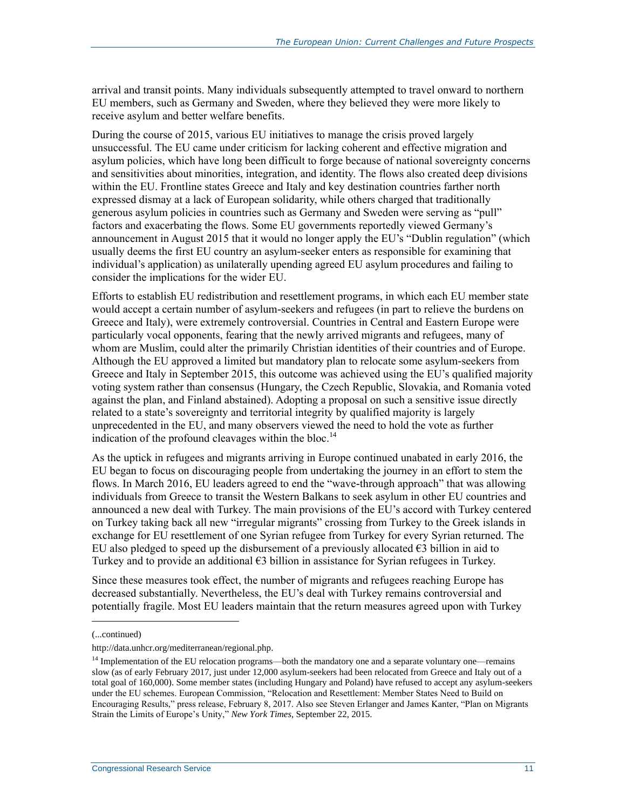arrival and transit points. Many individuals subsequently attempted to travel onward to northern EU members, such as Germany and Sweden, where they believed they were more likely to receive asylum and better welfare benefits.

During the course of 2015, various EU initiatives to manage the crisis proved largely unsuccessful. The EU came under criticism for lacking coherent and effective migration and asylum policies, which have long been difficult to forge because of national sovereignty concerns and sensitivities about minorities, integration, and identity. The flows also created deep divisions within the EU. Frontline states Greece and Italy and key destination countries farther north expressed dismay at a lack of European solidarity, while others charged that traditionally generous asylum policies in countries such as Germany and Sweden were serving as "pull" factors and exacerbating the flows. Some EU governments reportedly viewed Germany's announcement in August 2015 that it would no longer apply the EU's "Dublin regulation" (which usually deems the first EU country an asylum-seeker enters as responsible for examining that individual's application) as unilaterally upending agreed EU asylum procedures and failing to consider the implications for the wider EU.

Efforts to establish EU redistribution and resettlement programs, in which each EU member state would accept a certain number of asylum-seekers and refugees (in part to relieve the burdens on Greece and Italy), were extremely controversial. Countries in Central and Eastern Europe were particularly vocal opponents, fearing that the newly arrived migrants and refugees, many of whom are Muslim, could alter the primarily Christian identities of their countries and of Europe. Although the EU approved a limited but mandatory plan to relocate some asylum-seekers from Greece and Italy in September 2015, this outcome was achieved using the EU's qualified majority voting system rather than consensus (Hungary, the Czech Republic, Slovakia, and Romania voted against the plan, and Finland abstained). Adopting a proposal on such a sensitive issue directly related to a state's sovereignty and territorial integrity by qualified majority is largely unprecedented in the EU, and many observers viewed the need to hold the vote as further indication of the profound cleavages within the bloc.<sup>14</sup>

As the uptick in refugees and migrants arriving in Europe continued unabated in early 2016, the EU began to focus on discouraging people from undertaking the journey in an effort to stem the flows. In March 2016, EU leaders agreed to end the "wave-through approach" that was allowing individuals from Greece to transit the Western Balkans to seek asylum in other EU countries and announced a new deal with Turkey. The main provisions of the EU's accord with Turkey centered on Turkey taking back all new "irregular migrants" crossing from Turkey to the Greek islands in exchange for EU resettlement of one Syrian refugee from Turkey for every Syrian returned. The EU also pledged to speed up the disbursement of a previously allocated  $\epsilon$ 3 billion in aid to Turkey and to provide an additional €3 billion in assistance for Syrian refugees in Turkey.

Since these measures took effect, the number of migrants and refugees reaching Europe has decreased substantially. Nevertheless, the EU's deal with Turkey remains controversial and potentially fragile. Most EU leaders maintain that the return measures agreed upon with Turkey

<sup>(...</sup>continued)

http://data.unhcr.org/mediterranean/regional.php.

<sup>&</sup>lt;sup>14</sup> Implementation of the EU relocation programs—both the mandatory one and a separate voluntary one—remains slow (as of early February 2017, just under 12,000 asylum-seekers had been relocated from Greece and Italy out of a total goal of 160,000). Some member states (including Hungary and Poland) have refused to accept any asylum-seekers under the EU schemes. European Commission, "Relocation and Resettlement: Member States Need to Build on Encouraging Results," press release, February 8, 2017. Also see Steven Erlanger and James Kanter, "Plan on Migrants Strain the Limits of Europe's Unity," *New York Times*, September 22, 2015.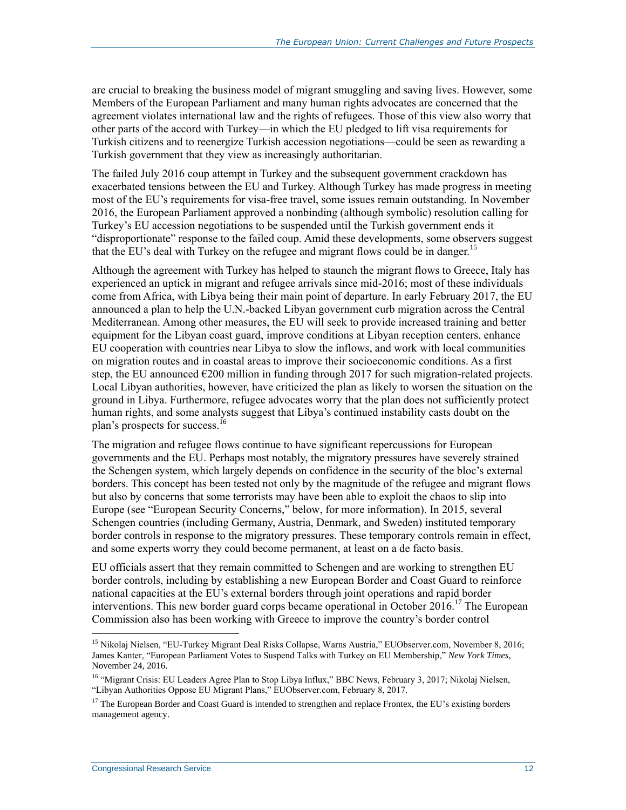are crucial to breaking the business model of migrant smuggling and saving lives. However, some Members of the European Parliament and many human rights advocates are concerned that the agreement violates international law and the rights of refugees. Those of this view also worry that other parts of the accord with Turkey—in which the EU pledged to lift visa requirements for Turkish citizens and to reenergize Turkish accession negotiations—could be seen as rewarding a Turkish government that they view as increasingly authoritarian.

The failed July 2016 coup attempt in Turkey and the subsequent government crackdown has exacerbated tensions between the EU and Turkey. Although Turkey has made progress in meeting most of the EU's requirements for visa-free travel, some issues remain outstanding. In November 2016, the European Parliament approved a nonbinding (although symbolic) resolution calling for Turkey's EU accession negotiations to be suspended until the Turkish government ends it "disproportionate" response to the failed coup. Amid these developments, some observers suggest that the EU's deal with Turkey on the refugee and migrant flows could be in danger.<sup>15</sup>

Although the agreement with Turkey has helped to staunch the migrant flows to Greece, Italy has experienced an uptick in migrant and refugee arrivals since mid-2016; most of these individuals come from Africa, with Libya being their main point of departure. In early February 2017, the EU announced a plan to help the U.N.-backed Libyan government curb migration across the Central Mediterranean. Among other measures, the EU will seek to provide increased training and better equipment for the Libyan coast guard, improve conditions at Libyan reception centers, enhance EU cooperation with countries near Libya to slow the inflows, and work with local communities on migration routes and in coastal areas to improve their socioeconomic conditions. As a first step, the EU announced  $\epsilon$ 200 million in funding through 2017 for such migration-related projects. Local Libyan authorities, however, have criticized the plan as likely to worsen the situation on the ground in Libya. Furthermore, refugee advocates worry that the plan does not sufficiently protect human rights, and some analysts suggest that Libya's continued instability casts doubt on the plan's prospects for success.<sup>16</sup>

The migration and refugee flows continue to have significant repercussions for European governments and the EU. Perhaps most notably, the migratory pressures have severely strained the Schengen system, which largely depends on confidence in the security of the bloc's external borders. This concept has been tested not only by the magnitude of the refugee and migrant flows but also by concerns that some terrorists may have been able to exploit the chaos to slip into Europe (see "European [Security Concerns,](#page-15-0)" below, for more information). In 2015, several Schengen countries (including Germany, Austria, Denmark, and Sweden) instituted temporary border controls in response to the migratory pressures. These temporary controls remain in effect, and some experts worry they could become permanent, at least on a de facto basis.

EU officials assert that they remain committed to Schengen and are working to strengthen EU border controls, including by establishing a new European Border and Coast Guard to reinforce national capacities at the EU's external borders through joint operations and rapid border interventions. This new border guard corps became operational in October 2016.<sup>17</sup> The European Commission also has been working with Greece to improve the country's border control

<sup>&</sup>lt;sup>15</sup> Nikolaj Nielsen, "EU-Turkey Migrant Deal Risks Collapse, Warns Austria," EUObserver.com, November 8, 2016; James Kanter, "European Parliament Votes to Suspend Talks with Turkey on EU Membership," *New York Times*, November 24, 2016.

<sup>&</sup>lt;sup>16</sup> "Migrant Crisis: EU Leaders Agree Plan to Stop Libya Influx," BBC News, February 3, 2017; Nikolaj Nielsen, "Libyan Authorities Oppose EU Migrant Plans," EUObserver.com, February 8, 2017.

<sup>&</sup>lt;sup>17</sup> The European Border and Coast Guard is intended to strengthen and replace Frontex, the EU's existing borders management agency.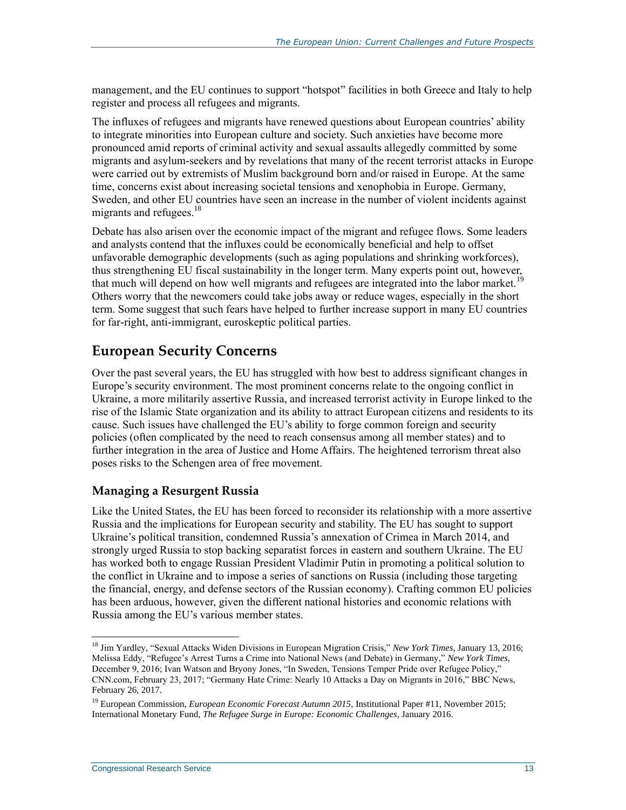management, and the EU continues to support "hotspot" facilities in both Greece and Italy to help register and process all refugees and migrants.

The influxes of refugees and migrants have renewed questions about European countries' ability to integrate minorities into European culture and society. Such anxieties have become more pronounced amid reports of criminal activity and sexual assaults allegedly committed by some migrants and asylum-seekers and by revelations that many of the recent terrorist attacks in Europe were carried out by extremists of Muslim background born and/or raised in Europe. At the same time, concerns exist about increasing societal tensions and xenophobia in Europe. Germany, Sweden, and other EU countries have seen an increase in the number of violent incidents against migrants and refugees.<sup>18</sup>

Debate has also arisen over the economic impact of the migrant and refugee flows. Some leaders and analysts contend that the influxes could be economically beneficial and help to offset unfavorable demographic developments (such as aging populations and shrinking workforces), thus strengthening EU fiscal sustainability in the longer term. Many experts point out, however, that much will depend on how well migrants and refugees are integrated into the labor market.<sup>19</sup> Others worry that the newcomers could take jobs away or reduce wages, especially in the short term. Some suggest that such fears have helped to further increase support in many EU countries for far-right, anti-immigrant, euroskeptic political parties.

#### <span id="page-15-0"></span>**European Security Concerns**

Over the past several years, the EU has struggled with how best to address significant changes in Europe's security environment. The most prominent concerns relate to the ongoing conflict in Ukraine, a more militarily assertive Russia, and increased terrorist activity in Europe linked to the rise of the Islamic State organization and its ability to attract European citizens and residents to its cause. Such issues have challenged the EU's ability to forge common foreign and security policies (often complicated by the need to reach consensus among all member states) and to further integration in the area of Justice and Home Affairs. The heightened terrorism threat also poses risks to the Schengen area of free movement.

#### **Managing a Resurgent Russia**

Like the United States, the EU has been forced to reconsider its relationship with a more assertive Russia and the implications for European security and stability. The EU has sought to support Ukraine's political transition, condemned Russia's annexation of Crimea in March 2014, and strongly urged Russia to stop backing separatist forces in eastern and southern Ukraine. The EU has worked both to engage Russian President Vladimir Putin in promoting a political solution to the conflict in Ukraine and to impose a series of sanctions on Russia (including those targeting the financial, energy, and defense sectors of the Russian economy). Crafting common EU policies has been arduous, however, given the different national histories and economic relations with Russia among the EU's various member states.

<sup>18</sup> Jim Yardley, "Sexual Attacks Widen Divisions in European Migration Crisis," *New York Times*, January 13, 2016; Melissa Eddy, "Refugee's Arrest Turns a Crime into National News (and Debate) in Germany," *New York Times*, December 9, 2016; Ivan Watson and Bryony Jones, "In Sweden, Tensions Temper Pride over Refugee Policy," CNN.com, February 23, 2017; "Germany Hate Crime: Nearly 10 Attacks a Day on Migrants in 2016," BBC News, February 26, 2017.

<sup>&</sup>lt;sup>19</sup> European Commission, *European Economic Forecast Autumn 2015*, Institutional Paper #11, November 2015; International Monetary Fund, *The Refugee Surge in Europe: Economic Challenges*, January 2016.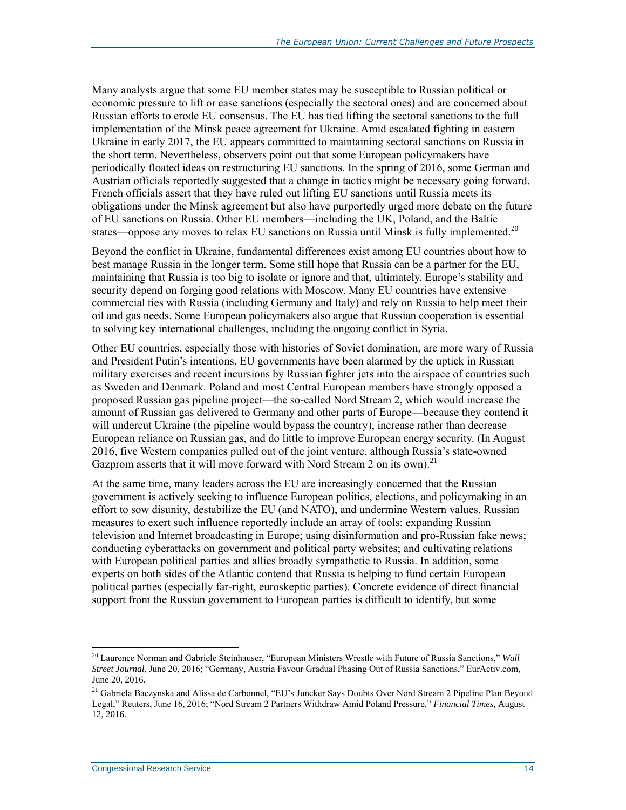Many analysts argue that some EU member states may be susceptible to Russian political or economic pressure to lift or ease sanctions (especially the sectoral ones) and are concerned about Russian efforts to erode EU consensus. The EU has tied lifting the sectoral sanctions to the full implementation of the Minsk peace agreement for Ukraine. Amid escalated fighting in eastern Ukraine in early 2017, the EU appears committed to maintaining sectoral sanctions on Russia in the short term. Nevertheless, observers point out that some European policymakers have periodically floated ideas on restructuring EU sanctions. In the spring of 2016, some German and Austrian officials reportedly suggested that a change in tactics might be necessary going forward. French officials assert that they have ruled out lifting EU sanctions until Russia meets its obligations under the Minsk agreement but also have purportedly urged more debate on the future of EU sanctions on Russia. Other EU members—including the UK, Poland, and the Baltic states—oppose any moves to relax EU sanctions on Russia until Minsk is fully implemented.<sup>20</sup>

Beyond the conflict in Ukraine, fundamental differences exist among EU countries about how to best manage Russia in the longer term. Some still hope that Russia can be a partner for the EU, maintaining that Russia is too big to isolate or ignore and that, ultimately, Europe's stability and security depend on forging good relations with Moscow. Many EU countries have extensive commercial ties with Russia (including Germany and Italy) and rely on Russia to help meet their oil and gas needs. Some European policymakers also argue that Russian cooperation is essential to solving key international challenges, including the ongoing conflict in Syria.

Other EU countries, especially those with histories of Soviet domination, are more wary of Russia and President Putin's intentions. EU governments have been alarmed by the uptick in Russian military exercises and recent incursions by Russian fighter jets into the airspace of countries such as Sweden and Denmark. Poland and most Central European members have strongly opposed a proposed Russian gas pipeline project—the so-called Nord Stream 2, which would increase the amount of Russian gas delivered to Germany and other parts of Europe—because they contend it will undercut Ukraine (the pipeline would bypass the country), increase rather than decrease European reliance on Russian gas, and do little to improve European energy security. (In August 2016, five Western companies pulled out of the joint venture, although Russia's state-owned Gazprom asserts that it will move forward with Nord Stream 2 on its own).<sup>21</sup>

At the same time, many leaders across the EU are increasingly concerned that the Russian government is actively seeking to influence European politics, elections, and policymaking in an effort to sow disunity, destabilize the EU (and NATO), and undermine Western values. Russian measures to exert such influence reportedly include an array of tools: expanding Russian television and Internet broadcasting in Europe; using disinformation and pro-Russian fake news; conducting cyberattacks on government and political party websites; and cultivating relations with European political parties and allies broadly sympathetic to Russia. In addition, some experts on both sides of the Atlantic contend that Russia is helping to fund certain European political parties (especially far-right, euroskeptic parties). Concrete evidence of direct financial support from the Russian government to European parties is difficult to identify, but some

<sup>20</sup> Laurence Norman and Gabriele Steinhauser, "European Ministers Wrestle with Future of Russia Sanctions," *Wall Street Journal*, June 20, 2016; "Germany, Austria Favour Gradual Phasing Out of Russia Sanctions," EurActiv.com, June 20, 2016.

<sup>&</sup>lt;sup>21</sup> Gabriela Baczynska and Alissa de Carbonnel, "EU's Juncker Says Doubts Over Nord Stream 2 Pipeline Plan Beyond Legal," Reuters, June 16, 2016; "Nord Stream 2 Partners Withdraw Amid Poland Pressure," *Financial Times*, August 12, 2016.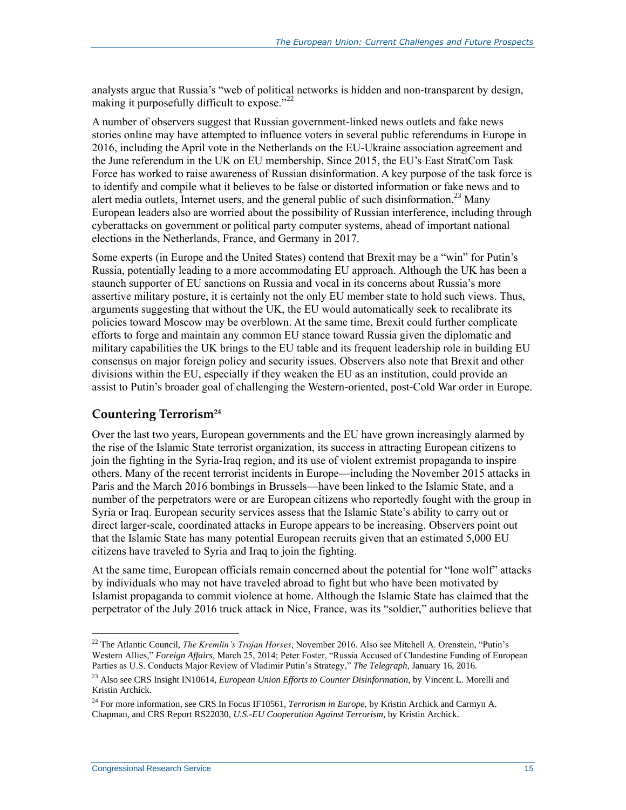analysts argue that Russia's "web of political networks is hidden and non-transparent by design, making it purposefully difficult to expose."<sup>22</sup>

A number of observers suggest that Russian government-linked news outlets and fake news stories online may have attempted to influence voters in several public referendums in Europe in 2016, including the April vote in the Netherlands on the EU-Ukraine association agreement and the June referendum in the UK on EU membership. Since 2015, the EU's East StratCom Task Force has worked to raise awareness of Russian disinformation. A key purpose of the task force is to identify and compile what it believes to be false or distorted information or fake news and to alert media outlets, Internet users, and the general public of such disinformation.<sup>23</sup> Many European leaders also are worried about the possibility of Russian interference, including through cyberattacks on government or political party computer systems, ahead of important national elections in the Netherlands, France, and Germany in 2017.

Some experts (in Europe and the United States) contend that Brexit may be a "win" for Putin's Russia, potentially leading to a more accommodating EU approach. Although the UK has been a staunch supporter of EU sanctions on Russia and vocal in its concerns about Russia's more assertive military posture, it is certainly not the only EU member state to hold such views. Thus, arguments suggesting that without the UK, the EU would automatically seek to recalibrate its policies toward Moscow may be overblown. At the same time, Brexit could further complicate efforts to forge and maintain any common EU stance toward Russia given the diplomatic and military capabilities the UK brings to the EU table and its frequent leadership role in building EU consensus on major foreign policy and security issues. Observers also note that Brexit and other divisions within the EU, especially if they weaken the EU as an institution, could provide an assist to Putin's broader goal of challenging the Western-oriented, post-Cold War order in Europe.

#### **Countering Terrorism<sup>24</sup>**

Over the last two years, European governments and the EU have grown increasingly alarmed by the rise of the Islamic State terrorist organization, its success in attracting European citizens to join the fighting in the Syria-Iraq region, and its use of violent extremist propaganda to inspire others. Many of the recent terrorist incidents in Europe—including the November 2015 attacks in Paris and the March 2016 bombings in Brussels—have been linked to the Islamic State, and a number of the perpetrators were or are European citizens who reportedly fought with the group in Syria or Iraq. European security services assess that the Islamic State's ability to carry out or direct larger-scale, coordinated attacks in Europe appears to be increasing. Observers point out that the Islamic State has many potential European recruits given that an estimated 5,000 EU citizens have traveled to Syria and Iraq to join the fighting.

At the same time, European officials remain concerned about the potential for "lone wolf" attacks by individuals who may not have traveled abroad to fight but who have been motivated by Islamist propaganda to commit violence at home. Although the Islamic State has claimed that the perpetrator of the July 2016 truck attack in Nice, France, was its "soldier," authorities believe that

<sup>22</sup> The Atlantic Council, *The Kremlin's Trojan Horses*, November 2016. Also see Mitchell A. Orenstein, "Putin's Western Allies," *Foreign Affairs*, March 25, 2014; Peter Foster, "Russia Accused of Clandestine Funding of European Parties as U.S. Conducts Major Review of Vladimir Putin's Strategy," *The Telegraph*, January 16, 2016.

<sup>23</sup> Also see CRS Insight IN10614, *European Union Efforts to Counter Disinformation*, by Vincent L. Morelli and Kristin Archick.

<sup>&</sup>lt;sup>24</sup> For more information, see CRS In Focus IF10561, *Terrorism in Europe*, by Kristin Archick and Carmyn A. Chapman, and CRS Report RS22030, *U.S.-EU Cooperation Against Terrorism*, by Kristin Archick.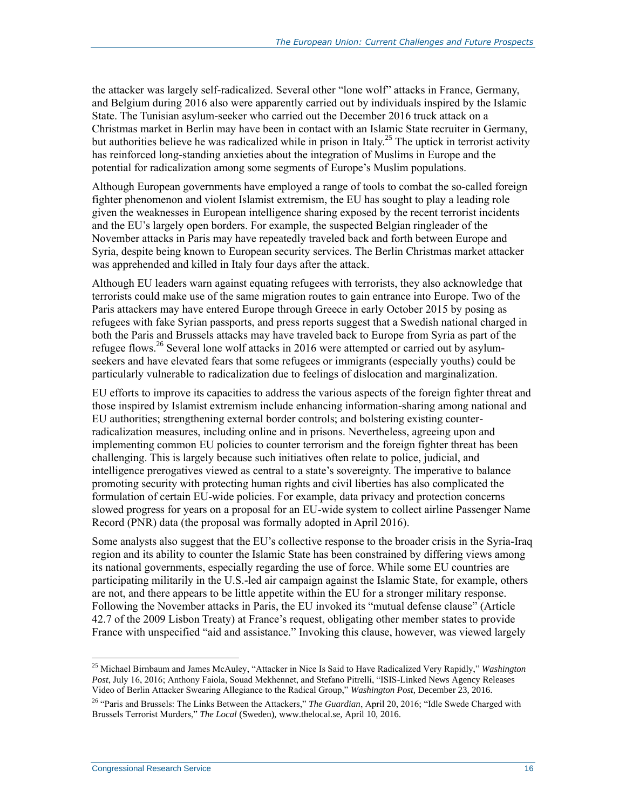the attacker was largely self-radicalized. Several other "lone wolf" attacks in France, Germany, and Belgium during 2016 also were apparently carried out by individuals inspired by the Islamic State. The Tunisian asylum-seeker who carried out the December 2016 truck attack on a Christmas market in Berlin may have been in contact with an Islamic State recruiter in Germany, but authorities believe he was radicalized while in prison in Italy.<sup>25</sup> The uptick in terrorist activity has reinforced long-standing anxieties about the integration of Muslims in Europe and the potential for radicalization among some segments of Europe's Muslim populations.

Although European governments have employed a range of tools to combat the so-called foreign fighter phenomenon and violent Islamist extremism, the EU has sought to play a leading role given the weaknesses in European intelligence sharing exposed by the recent terrorist incidents and the EU's largely open borders. For example, the suspected Belgian ringleader of the November attacks in Paris may have repeatedly traveled back and forth between Europe and Syria, despite being known to European security services. The Berlin Christmas market attacker was apprehended and killed in Italy four days after the attack.

Although EU leaders warn against equating refugees with terrorists, they also acknowledge that terrorists could make use of the same migration routes to gain entrance into Europe. Two of the Paris attackers may have entered Europe through Greece in early October 2015 by posing as refugees with fake Syrian passports, and press reports suggest that a Swedish national charged in both the Paris and Brussels attacks may have traveled back to Europe from Syria as part of the refugee flows.<sup>26</sup> Several lone wolf attacks in 2016 were attempted or carried out by asylumseekers and have elevated fears that some refugees or immigrants (especially youths) could be particularly vulnerable to radicalization due to feelings of dislocation and marginalization.

EU efforts to improve its capacities to address the various aspects of the foreign fighter threat and those inspired by Islamist extremism include enhancing information-sharing among national and EU authorities; strengthening external border controls; and bolstering existing counterradicalization measures, including online and in prisons. Nevertheless, agreeing upon and implementing common EU policies to counter terrorism and the foreign fighter threat has been challenging. This is largely because such initiatives often relate to police, judicial, and intelligence prerogatives viewed as central to a state's sovereignty. The imperative to balance promoting security with protecting human rights and civil liberties has also complicated the formulation of certain EU-wide policies. For example, data privacy and protection concerns slowed progress for years on a proposal for an EU-wide system to collect airline Passenger Name Record (PNR) data (the proposal was formally adopted in April 2016).

Some analysts also suggest that the EU's collective response to the broader crisis in the Syria-Iraq region and its ability to counter the Islamic State has been constrained by differing views among its national governments, especially regarding the use of force. While some EU countries are participating militarily in the U.S.-led air campaign against the Islamic State, for example, others are not, and there appears to be little appetite within the EU for a stronger military response. Following the November attacks in Paris, the EU invoked its "mutual defense clause" (Article 42.7 of the 2009 Lisbon Treaty) at France's request, obligating other member states to provide France with unspecified "aid and assistance." Invoking this clause, however, was viewed largely

<sup>25</sup> Michael Birnbaum and James McAuley, "Attacker in Nice Is Said to Have Radicalized Very Rapidly," *Washington Post*, July 16, 2016; Anthony Faiola, Souad Mekhennet, and Stefano Pitrelli, "ISIS-Linked News Agency Releases Video of Berlin Attacker Swearing Allegiance to the Radical Group," *Washington Post*, December 23, 2016.

<sup>&</sup>lt;sup>26</sup> "Paris and Brussels: The Links Between the Attackers," The Guardian, April 20, 2016; "Idle Swede Charged with Brussels Terrorist Murders," *The Local* (Sweden), www.thelocal.se, April 10, 2016.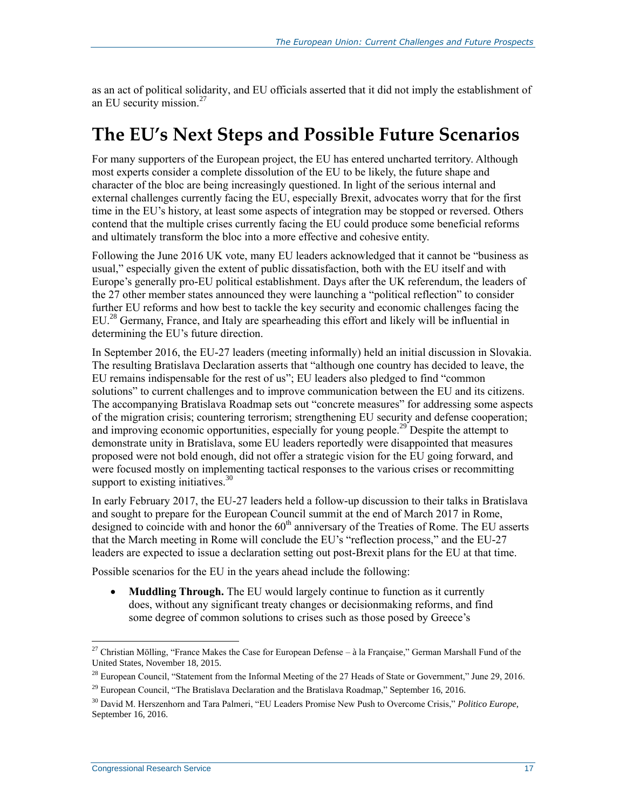as an act of political solidarity, and EU officials asserted that it did not imply the establishment of an EU security mission.<sup>27</sup>

## <span id="page-19-0"></span>**The EU's Next Steps and Possible Future Scenarios**

For many supporters of the European project, the EU has entered uncharted territory. Although most experts consider a complete dissolution of the EU to be likely, the future shape and character of the bloc are being increasingly questioned. In light of the serious internal and external challenges currently facing the EU, especially Brexit, advocates worry that for the first time in the EU's history, at least some aspects of integration may be stopped or reversed. Others contend that the multiple crises currently facing the EU could produce some beneficial reforms and ultimately transform the bloc into a more effective and cohesive entity.

Following the June 2016 UK vote, many EU leaders acknowledged that it cannot be "business as usual," especially given the extent of public dissatisfaction, both with the EU itself and with Europe's generally pro-EU political establishment. Days after the UK referendum, the leaders of the 27 other member states announced they were launching a "political reflection" to consider further EU reforms and how best to tackle the key security and economic challenges facing the EU.<sup>28</sup> Germany, France, and Italy are spearheading this effort and likely will be influential in determining the EU's future direction.

In September 2016, the EU-27 leaders (meeting informally) held an initial discussion in Slovakia. The resulting Bratislava Declaration asserts that "although one country has decided to leave, the EU remains indispensable for the rest of us"; EU leaders also pledged to find "common solutions" to current challenges and to improve communication between the EU and its citizens. The accompanying Bratislava Roadmap sets out "concrete measures" for addressing some aspects of the migration crisis; countering terrorism; strengthening EU security and defense cooperation; and improving economic opportunities, especially for young people.<sup>29</sup> Despite the attempt to demonstrate unity in Bratislava, some EU leaders reportedly were disappointed that measures proposed were not bold enough, did not offer a strategic vision for the EU going forward, and were focused mostly on implementing tactical responses to the various crises or recommitting support to existing initiatives. $30$ 

In early February 2017, the EU-27 leaders held a follow-up discussion to their talks in Bratislava and sought to prepare for the European Council summit at the end of March 2017 in Rome, designed to coincide with and honor the 60<sup>th</sup> anniversary of the Treaties of Rome. The EU asserts that the March meeting in Rome will conclude the EU's "reflection process," and the EU-27 leaders are expected to issue a declaration setting out post-Brexit plans for the EU at that time.

Possible scenarios for the EU in the years ahead include the following:

 **Muddling Through.** The EU would largely continue to function as it currently does, without any significant treaty changes or decisionmaking reforms, and find some degree of common solutions to crises such as those posed by Greece's

<sup>&</sup>lt;sup>27</sup> Christian Mölling, "France Makes the Case for European Defense – à la Française," German Marshall Fund of the United States, November 18, 2015.

 $^{28}$  European Council, "Statement from the Informal Meeting of the 27 Heads of State or Government," June 29, 2016.

 $^{29}$  European Council, "The Bratislava Declaration and the Bratislava Roadmap," September 16, 2016.

<sup>30</sup> David M. Herszenhorn and Tara Palmeri, "EU Leaders Promise New Push to Overcome Crisis," *Politico Europe*, September 16, 2016.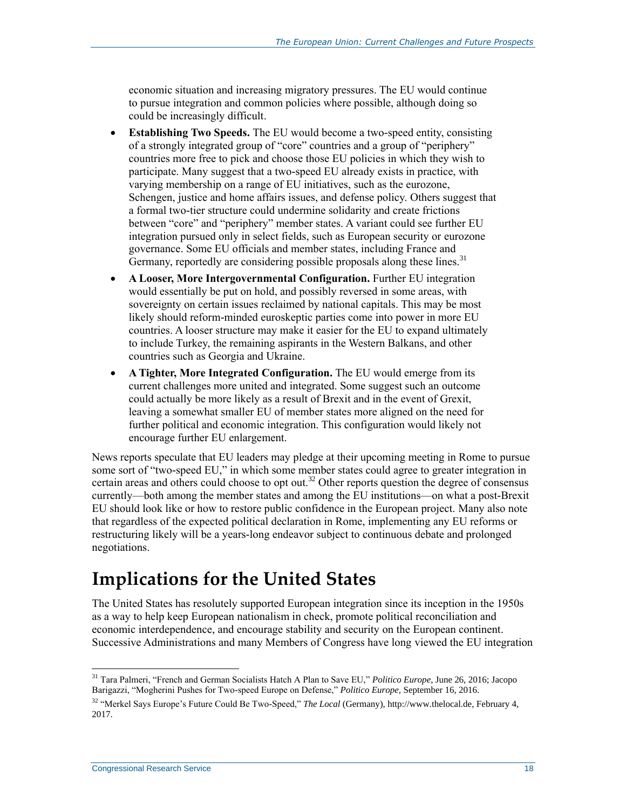economic situation and increasing migratory pressures. The EU would continue to pursue integration and common policies where possible, although doing so could be increasingly difficult.

- **Establishing Two Speeds.** The EU would become a two-speed entity, consisting of a strongly integrated group of "core" countries and a group of "periphery" countries more free to pick and choose those EU policies in which they wish to participate. Many suggest that a two-speed EU already exists in practice, with varying membership on a range of EU initiatives, such as the eurozone, Schengen, justice and home affairs issues, and defense policy. Others suggest that a formal two-tier structure could undermine solidarity and create frictions between "core" and "periphery" member states. A variant could see further EU integration pursued only in select fields, such as European security or eurozone governance. Some EU officials and member states, including France and Germany, reportedly are considering possible proposals along these lines.<sup>31</sup>
- **A Looser, More Intergovernmental Configuration.** Further EU integration would essentially be put on hold, and possibly reversed in some areas, with sovereignty on certain issues reclaimed by national capitals. This may be most likely should reform-minded euroskeptic parties come into power in more EU countries. A looser structure may make it easier for the EU to expand ultimately to include Turkey, the remaining aspirants in the Western Balkans, and other countries such as Georgia and Ukraine.
- **A Tighter, More Integrated Configuration.** The EU would emerge from its current challenges more united and integrated. Some suggest such an outcome could actually be more likely as a result of Brexit and in the event of Grexit, leaving a somewhat smaller EU of member states more aligned on the need for further political and economic integration. This configuration would likely not encourage further EU enlargement.

News reports speculate that EU leaders may pledge at their upcoming meeting in Rome to pursue some sort of "two-speed EU," in which some member states could agree to greater integration in certain areas and others could choose to opt out.<sup>32</sup> Other reports question the degree of consensus currently—both among the member states and among the EU institutions—on what a post-Brexit EU should look like or how to restore public confidence in the European project. Many also note that regardless of the expected political declaration in Rome, implementing any EU reforms or restructuring likely will be a years-long endeavor subject to continuous debate and prolonged negotiations.

## **Implications for the United States**

The United States has resolutely supported European integration since its inception in the 1950s as a way to help keep European nationalism in check, promote political reconciliation and economic interdependence, and encourage stability and security on the European continent. Successive Administrations and many Members of Congress have long viewed the EU integration

<sup>31</sup> Tara Palmeri, "French and German Socialists Hatch A Plan to Save EU," *Politico Europe*, June 26, 2016; Jacopo Barigazzi, "Mogherini Pushes for Two-speed Europe on Defense," *Politico Europe,* September 16, 2016.

<sup>32</sup> "Merkel Says Europe's Future Could Be Two-Speed," *The Local* (Germany), http://www.thelocal.de, February 4, 2017.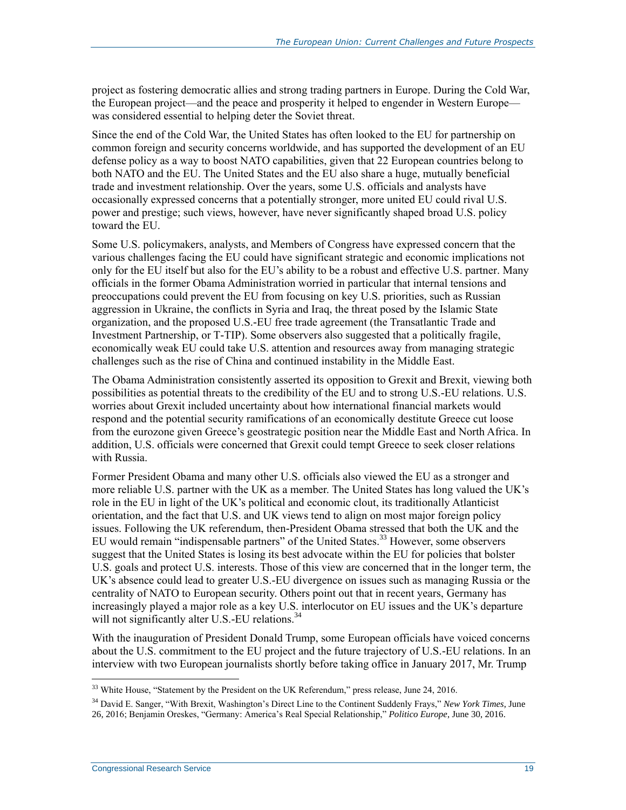project as fostering democratic allies and strong trading partners in Europe. During the Cold War, the European project—and the peace and prosperity it helped to engender in Western Europe was considered essential to helping deter the Soviet threat.

Since the end of the Cold War, the United States has often looked to the EU for partnership on common foreign and security concerns worldwide, and has supported the development of an EU defense policy as a way to boost NATO capabilities, given that 22 European countries belong to both NATO and the EU. The United States and the EU also share a huge, mutually beneficial trade and investment relationship. Over the years, some U.S. officials and analysts have occasionally expressed concerns that a potentially stronger, more united EU could rival U.S. power and prestige; such views, however, have never significantly shaped broad U.S. policy toward the EU.

Some U.S. policymakers, analysts, and Members of Congress have expressed concern that the various challenges facing the EU could have significant strategic and economic implications not only for the EU itself but also for the EU's ability to be a robust and effective U.S. partner. Many officials in the former Obama Administration worried in particular that internal tensions and preoccupations could prevent the EU from focusing on key U.S. priorities, such as Russian aggression in Ukraine, the conflicts in Syria and Iraq, the threat posed by the Islamic State organization, and the proposed U.S.-EU free trade agreement (the Transatlantic Trade and Investment Partnership, or T-TIP). Some observers also suggested that a politically fragile, economically weak EU could take U.S. attention and resources away from managing strategic challenges such as the rise of China and continued instability in the Middle East.

The Obama Administration consistently asserted its opposition to Grexit and Brexit, viewing both possibilities as potential threats to the credibility of the EU and to strong U.S.-EU relations. U.S. worries about Grexit included uncertainty about how international financial markets would respond and the potential security ramifications of an economically destitute Greece cut loose from the eurozone given Greece's geostrategic position near the Middle East and North Africa. In addition, U.S. officials were concerned that Grexit could tempt Greece to seek closer relations with Russia.

Former President Obama and many other U.S. officials also viewed the EU as a stronger and more reliable U.S. partner with the UK as a member. The United States has long valued the UK's role in the EU in light of the UK's political and economic clout, its traditionally Atlanticist orientation, and the fact that U.S. and UK views tend to align on most major foreign policy issues. Following the UK referendum, then-President Obama stressed that both the UK and the EU would remain "indispensable partners" of the United States.<sup>33</sup> However, some observers suggest that the United States is losing its best advocate within the EU for policies that bolster U.S. goals and protect U.S. interests. Those of this view are concerned that in the longer term, the UK's absence could lead to greater U.S.-EU divergence on issues such as managing Russia or the centrality of NATO to European security. Others point out that in recent years, Germany has increasingly played a major role as a key U.S. interlocutor on EU issues and the UK's departure will not significantly alter U.S.-EU relations.<sup>34</sup>

With the inauguration of President Donald Trump, some European officials have voiced concerns about the U.S. commitment to the EU project and the future trajectory of U.S.-EU relations. In an interview with two European journalists shortly before taking office in January 2017, Mr. Trump

<sup>&</sup>lt;sup>33</sup> White House, "Statement by the President on the UK Referendum," press release, June 24, 2016.

<sup>34</sup> David E. Sanger, "With Brexit, Washington's Direct Line to the Continent Suddenly Frays," *New York Times*, June 26, 2016; Benjamin Oreskes, "Germany: America's Real Special Relationship," *Politico Europe*, June 30, 2016.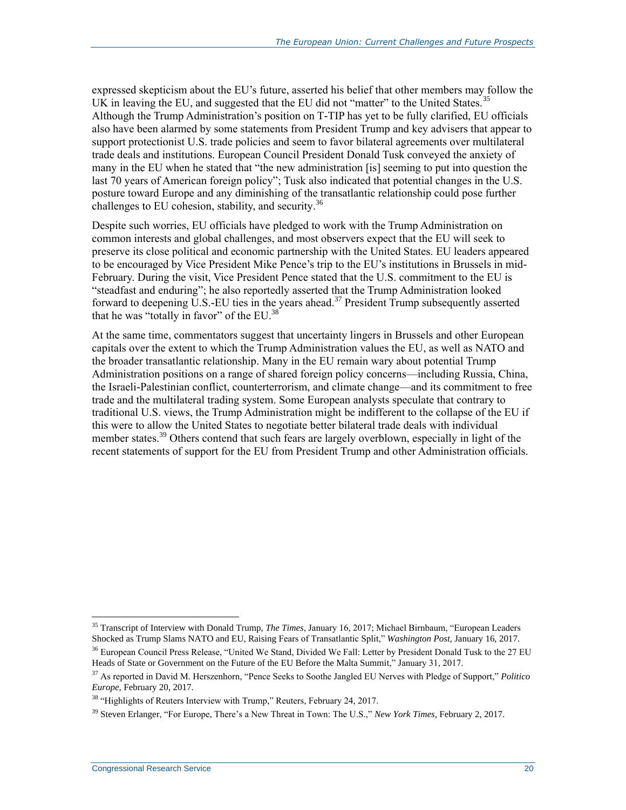expressed skepticism about the EU's future, asserted his belief that other members may follow the UK in leaving the EU, and suggested that the EU did not "matter" to the United States.<sup>35</sup> Although the Trump Administration's position on T-TIP has yet to be fully clarified, EU officials also have been alarmed by some statements from President Trump and key advisers that appear to support protectionist U.S. trade policies and seem to favor bilateral agreements over multilateral trade deals and institutions. European Council President Donald Tusk conveyed the anxiety of many in the EU when he stated that "the new administration [is] seeming to put into question the last 70 years of American foreign policy"; Tusk also indicated that potential changes in the U.S. posture toward Europe and any diminishing of the transatlantic relationship could pose further challenges to EU cohesion, stability, and security.<sup>36</sup>

Despite such worries, EU officials have pledged to work with the Trump Administration on common interests and global challenges, and most observers expect that the EU will seek to preserve its close political and economic partnership with the United States. EU leaders appeared to be encouraged by Vice President Mike Pence's trip to the EU's institutions in Brussels in mid-February. During the visit, Vice President Pence stated that the U.S. commitment to the EU is "steadfast and enduring"; he also reportedly asserted that the Trump Administration looked forward to deepening U.S.-EU ties in the years ahead.<sup>37</sup> President Trump subsequently asserted that he was "totally in favor" of the EU.<sup>38</sup>

At the same time, commentators suggest that uncertainty lingers in Brussels and other European capitals over the extent to which the Trump Administration values the EU, as well as NATO and the broader transatlantic relationship. Many in the EU remain wary about potential Trump Administration positions on a range of shared foreign policy concerns—including Russia, China, the Israeli-Palestinian conflict, counterterrorism, and climate change—and its commitment to free trade and the multilateral trading system. Some European analysts speculate that contrary to traditional U.S. views, the Trump Administration might be indifferent to the collapse of the EU if this were to allow the United States to negotiate better bilateral trade deals with individual member states.<sup>39</sup> Others contend that such fears are largely overblown, especially in light of the recent statements of support for the EU from President Trump and other Administration officials.

 $\overline{a}$ <sup>35</sup> Transcript of Interview with Donald Trump, *The Times*, January 16, 2017; Michael Birnbaum, "European Leaders Shocked as Trump Slams NATO and EU, Raising Fears of Transatlantic Split," *Washington Post*, January 16, 2017. <sup>36</sup> European Council Press Release, "United We Stand, Divided We Fall: Letter by President Donald Tusk to the 27 EU Heads of State or Government on the Future of the EU Before the Malta Summit," January 31, 2017.

<sup>37</sup> As reported in David M. Herszenhorn, "Pence Seeks to Soothe Jangled EU Nerves with Pledge of Support," *Politico Europe*, February 20, 2017.

<sup>&</sup>lt;sup>38</sup> "Highlights of Reuters Interview with Trump," Reuters, February 24, 2017.

<sup>39</sup> Steven Erlanger, "For Europe, There's a New Threat in Town: The U.S.," *New York Times*, February 2, 2017.